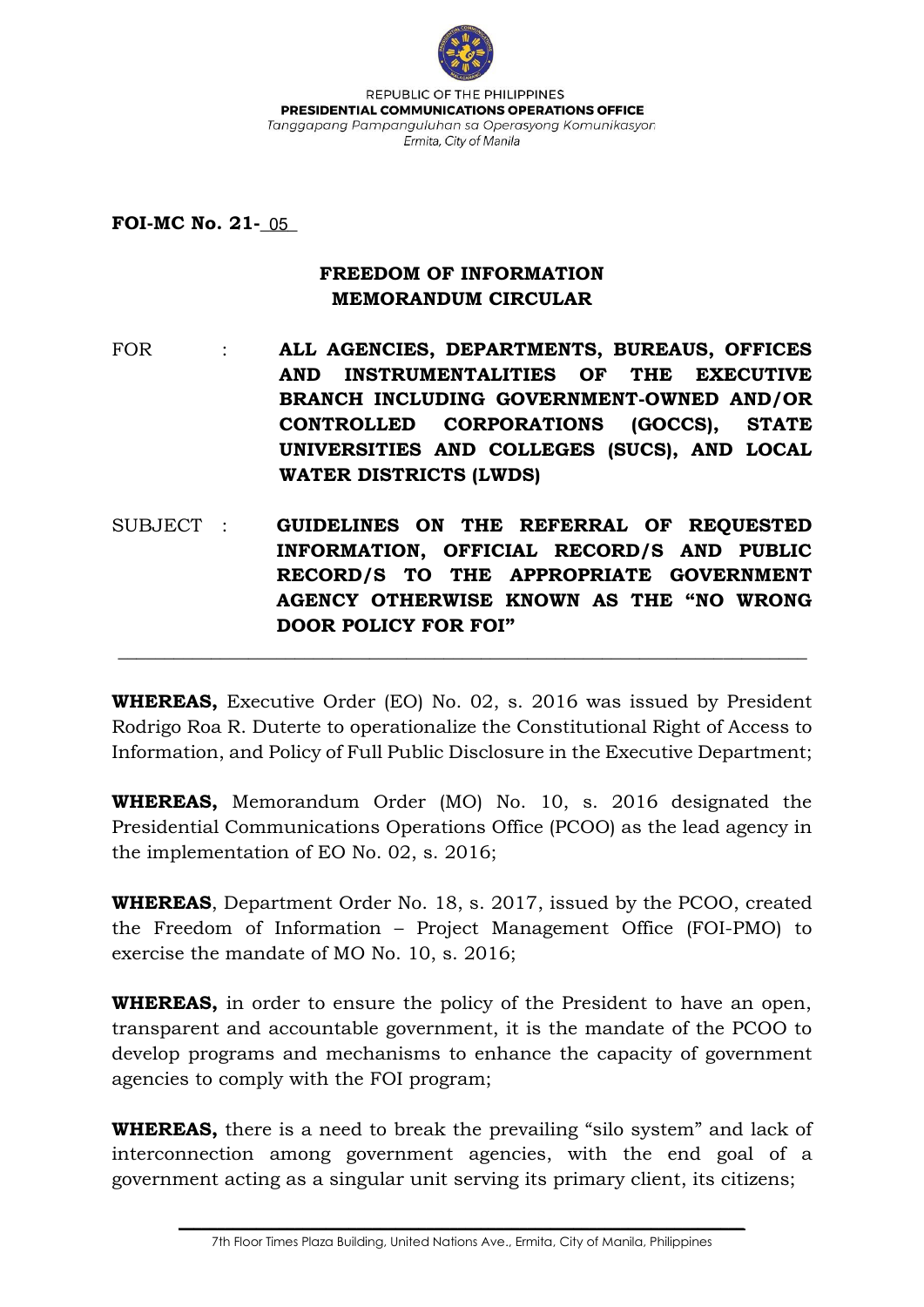

REPUBLIC OF THE PHILIPPINES PRESIDENTIAL COMMUNICATIONS OPERATIONS OFFICE Tanggapang Pampanguluhan sa Operasyong Komunikasyon Ermita, City of Manila

**FOI-MC No. 21-** 05

## **FREEDOM OF INFORMATION MEMORANDUM CIRCULAR**

FOR : **ALL AGENCIES, DEPARTMENTS, BUREAUS, OFFICES AND INSTRUMENTALITIES OF THE EXECUTIVE BRANCH INCLUDING GOVERNMENT-OWNED AND/OR CONTROLLED CORPORATIONS (GOCCS), STATE UNIVERSITIES AND COLLEGES (SUCS), AND LOCAL WATER DISTRICTS (LWDS)**

SUBJECT : **GUIDELINES ON THE REFERRAL OF REQUESTED INFORMATION, OFFICIAL RECORD/S AND PUBLIC RECORD/S TO THE APPROPRIATE GOVERNMENT AGENCY OTHERWISE KNOWN AS THE "NO WRONG DOOR POLICY FOR FOI"**

 $\_$  . The contribution of the contribution of  $\mathcal{L}_\mathcal{A}$  ,  $\mathcal{L}_\mathcal{A}$  ,  $\mathcal{L}_\mathcal{A}$  ,  $\mathcal{L}_\mathcal{A}$  ,  $\mathcal{L}_\mathcal{A}$  ,  $\mathcal{L}_\mathcal{A}$  ,  $\mathcal{L}_\mathcal{A}$  ,  $\mathcal{L}_\mathcal{A}$  ,  $\mathcal{L}_\mathcal{A}$  ,  $\mathcal{L}_\mathcal{A}$  ,  $\mathcal{$ 

**WHEREAS,** Executive Order (EO) No. 02, s. 2016 was issued by President Rodrigo Roa R. Duterte to operationalize the Constitutional Right of Access to Information, and Policy of Full Public Disclosure in the Executive Department;

**WHEREAS,** Memorandum Order (MO) No. 10, s. 2016 designated the Presidential Communications Operations Office (PCOO) as the lead agency in the implementation of EO No. 02, s. 2016;

**WHEREAS**, Department Order No. 18, s. 2017, issued by the PCOO, created the Freedom of Information – Project Management Office (FOI-PMO) to exercise the mandate of MO No. 10, s. 2016;

**WHEREAS,** in order to ensure the policy of the President to have an open, transparent and accountable government, it is the mandate of the PCOO to develop programs and mechanisms to enhance the capacity of government agencies to comply with the FOI program;

**WHEREAS,** there is a need to break the prevailing "silo system" and lack of interconnection among government agencies, with the end goal of a government acting as a singular unit serving its primary client, its citizens;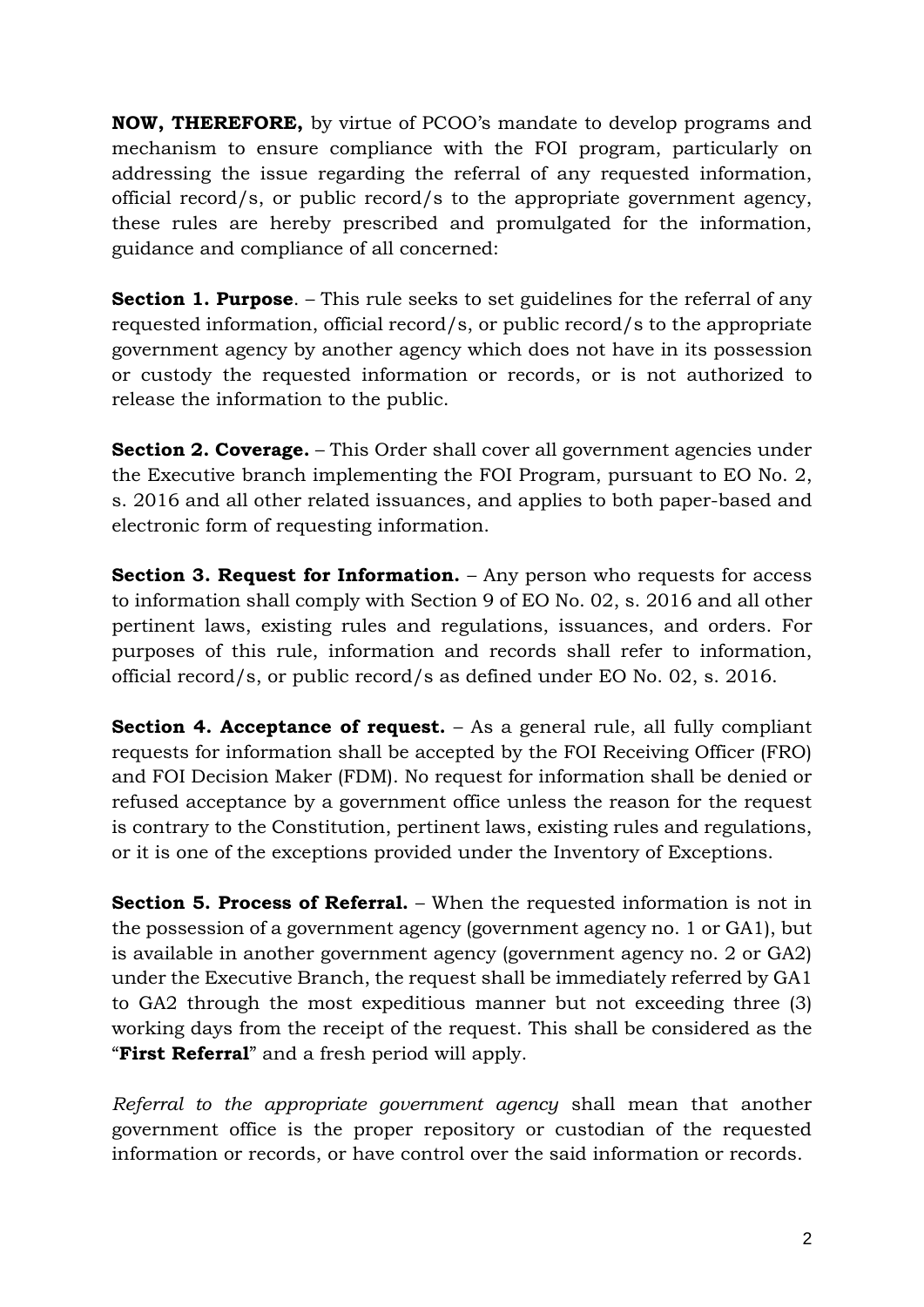**NOW, THEREFORE,** by virtue of PCOO's mandate to develop programs and mechanism to ensure compliance with the FOI program, particularly on addressing the issue regarding the referral of any requested information, official record/s, or public record/s to the appropriate government agency, these rules are hereby prescribed and promulgated for the information, guidance and compliance of all concerned:

**Section 1. Purpose.** – This rule seeks to set guidelines for the referral of any requested information, official record/s, or public record/s to the appropriate government agency by another agency which does not have in its possession or custody the requested information or records, or is not authorized to release the information to the public.

**Section 2. Coverage.** – This Order shall cover all government agencies under the Executive branch implementing the FOI Program, pursuant to EO No. 2, s. 2016 and all other related issuances, and applies to both paper-based and electronic form of requesting information.

**Section 3. Request for Information.** – Any person who requests for access to information shall comply with Section 9 of EO No. 02, s. 2016 and all other pertinent laws, existing rules and regulations, issuances, and orders. For purposes of this rule, information and records shall refer to information, official record/s, or public record/s as defined under EO No. 02, s. 2016.

**Section 4. Acceptance of request.** – As a general rule, all fully compliant requests for information shall be accepted by the FOI Receiving Officer (FRO) and FOI Decision Maker (FDM). No request for information shall be denied or refused acceptance by a government office unless the reason for the request is contrary to the Constitution, pertinent laws, existing rules and regulations, or it is one of the exceptions provided under the Inventory of Exceptions.

**Section 5. Process of Referral.** – When the requested information is not in the possession of a government agency (government agency no. 1 or GA1), but is available in another government agency (government agency no. 2 or GA2) under the Executive Branch, the request shall be immediately referred by GA1 to GA2 through the most expeditious manner but not exceeding three (3) working days from the receipt of the request. This shall be considered as the "**First Referral**" and a fresh period will apply.

*Referral to the appropriate government agency* shall mean that another government office is the proper repository or custodian of the requested information or records, or have control over the said information or records.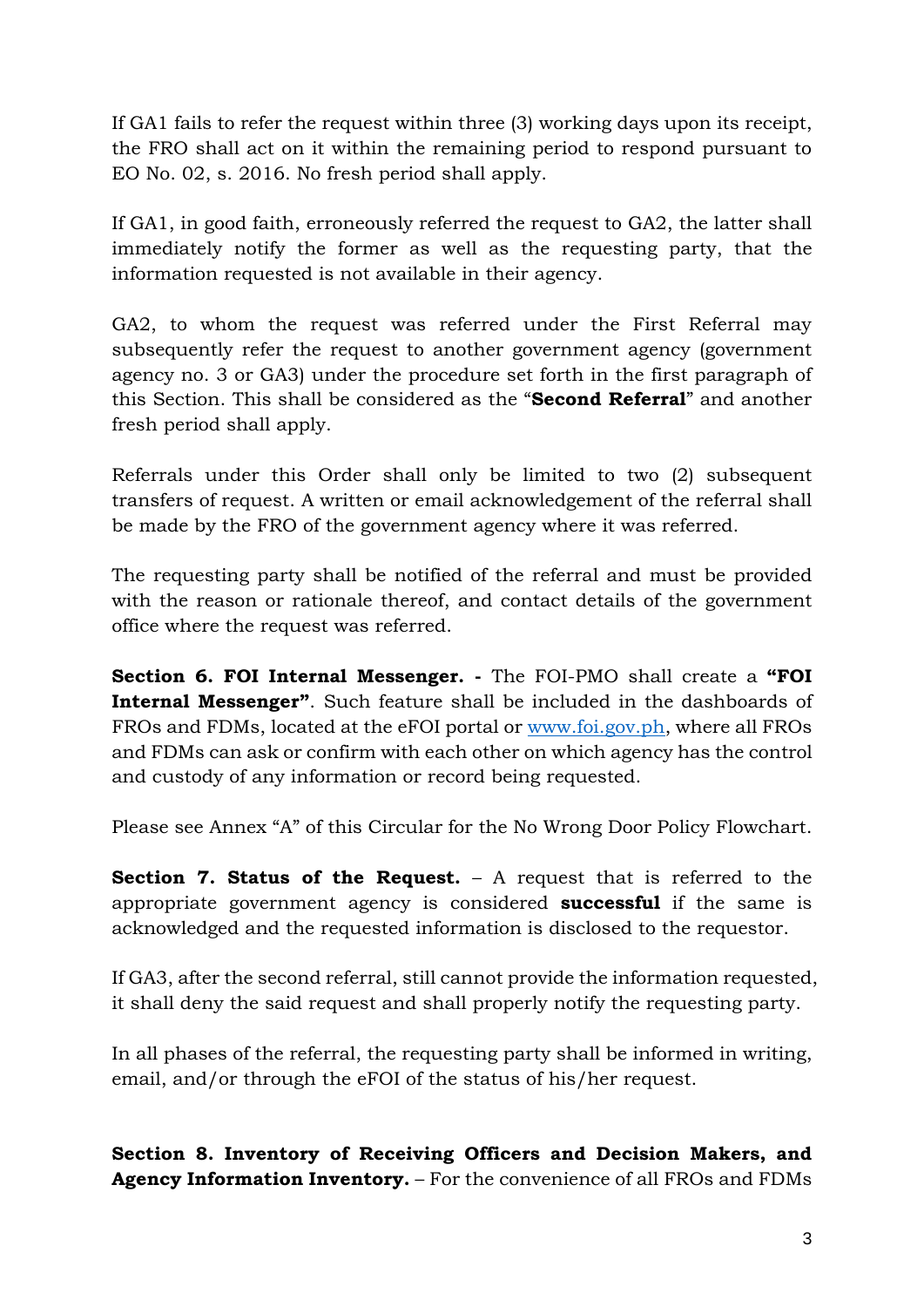If GA1 fails to refer the request within three (3) working days upon its receipt, the FRO shall act on it within the remaining period to respond pursuant to EO No. 02, s. 2016. No fresh period shall apply.

If GA1, in good faith, erroneously referred the request to GA2, the latter shall immediately notify the former as well as the requesting party, that the information requested is not available in their agency.

GA2, to whom the request was referred under the First Referral may subsequently refer the request to another government agency (government agency no. 3 or GA3) under the procedure set forth in the first paragraph of this Section. This shall be considered as the "**Second Referral**" and another fresh period shall apply.

Referrals under this Order shall only be limited to two (2) subsequent transfers of request. A written or email acknowledgement of the referral shall be made by the FRO of the government agency where it was referred.

The requesting party shall be notified of the referral and must be provided with the reason or rationale thereof, and contact details of the government office where the request was referred.

**Section 6. FOI Internal Messenger. -** The FOI-PMO shall create a **"FOI Internal Messenger"**. Such feature shall be included in the dashboards of FROs and FDMs, located at the eFOI portal or [www.foi.gov.ph,](http://www.foi.gov.ph/) where all FROs and FDMs can ask or confirm with each other on which agency has the control and custody of any information or record being requested.

Please see Annex "A" of this Circular for the No Wrong Door Policy Flowchart.

**Section 7. Status of the Request.** – A request that is referred to the appropriate government agency is considered **successful** if the same is acknowledged and the requested information is disclosed to the requestor.

If GA3, after the second referral, still cannot provide the information requested, it shall deny the said request and shall properly notify the requesting party.

In all phases of the referral, the requesting party shall be informed in writing, email, and/or through the eFOI of the status of his/her request.

**Section 8. Inventory of Receiving Officers and Decision Makers, and Agency Information Inventory.** – For the convenience of all FROs and FDMs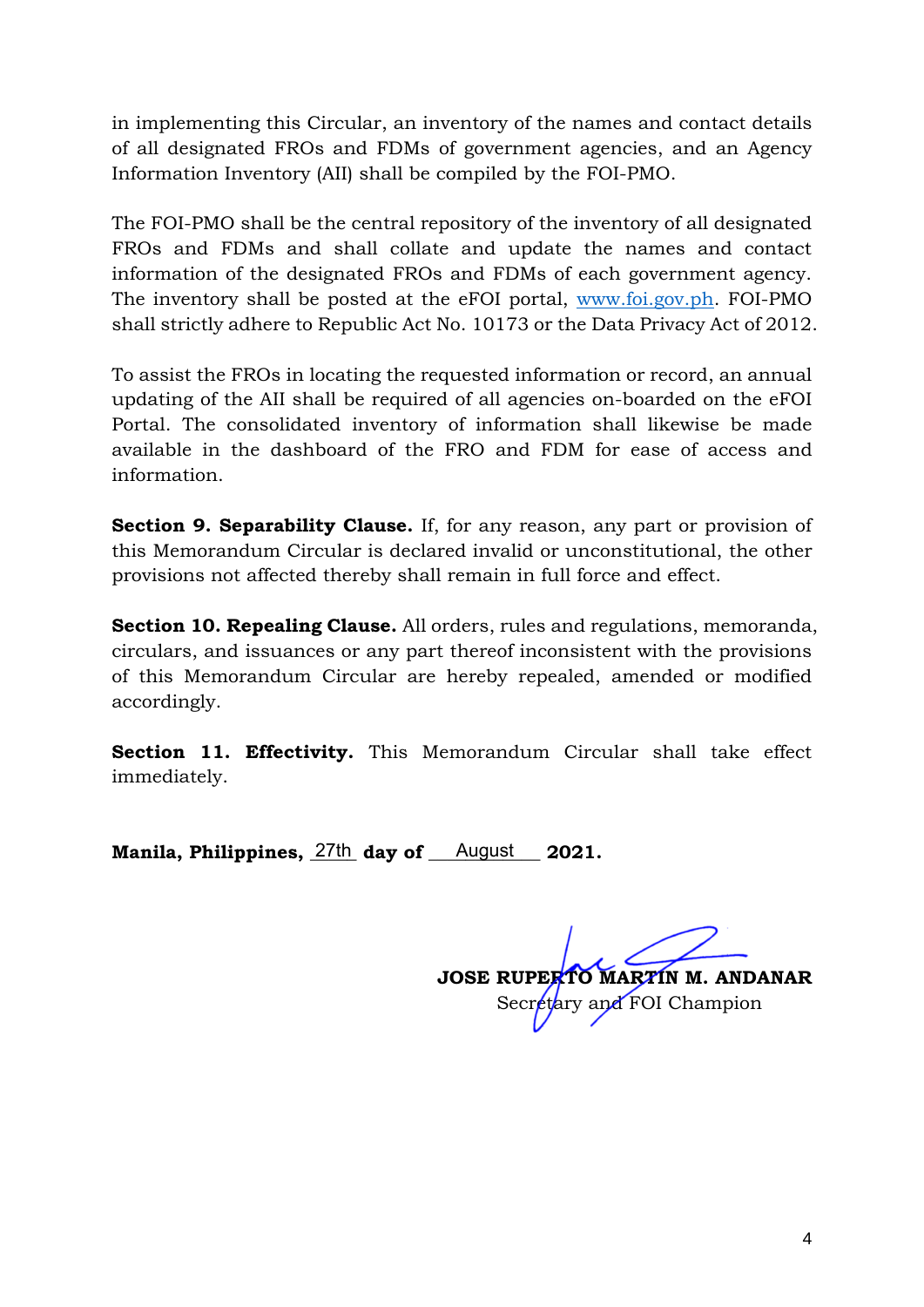in implementing this Circular, an inventory of the names and contact details of all designated FROs and FDMs of government agencies, and an Agency Information Inventory (AII) shall be compiled by the FOI-PMO.

The FOI-PMO shall be the central repository of the inventory of all designated FROs and FDMs and shall collate and update the names and contact information of the designated FROs and FDMs of each government agency. The inventory shall be posted at the eFOI portal, [www.foi.gov.ph.](http://www.foi.gov.ph/) FOI-PMO shall strictly adhere to Republic Act No. 10173 or the Data Privacy Act of 2012.

To assist the FROs in locating the requested information or record, an annual updating of the AII shall be required of all agencies on-boarded on the eFOI Portal. The consolidated inventory of information shall likewise be made available in the dashboard of the FRO and FDM for ease of access and information.

**Section 9. Separability Clause.** If, for any reason, any part or provision of this Memorandum Circular is declared invalid or unconstitutional, the other provisions not affected thereby shall remain in full force and effect.

**Section 10. Repealing Clause.** All orders, rules and regulations, memoranda, circulars, and issuances or any part thereof inconsistent with the provisions of this Memorandum Circular are hereby repealed, amended or modified accordingly.

**Section 11. Effectivity.** This Memorandum Circular shall take effect immediately.

**Manila, Philippines, 27th day of August 2021.** 

**JOSE RUPERTO MARTIN M. ANDANAR** Secretary and FOI Champion